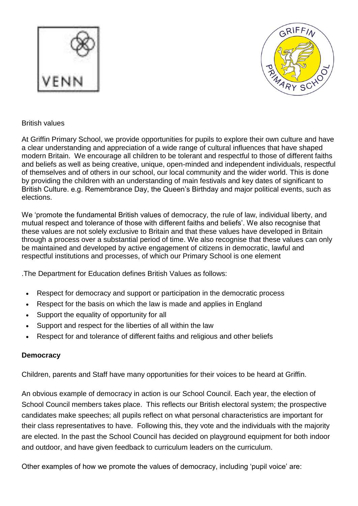



## British values

At Griffin Primary School, we provide opportunities for pupils to explore their own culture and have a clear understanding and appreciation of a wide range of cultural influences that have shaped modern Britain. We encourage all children to be tolerant and respectful to those of different faiths and beliefs as well as being creative, unique, open-minded and independent individuals, respectful of themselves and of others in our school, our local community and the wider world. This is done by providing the children with an understanding of main festivals and key dates of significant to British Culture. e.g. Remembrance Day, the Queen's Birthday and major political events, such as elections.

We 'promote the fundamental British values of democracy, the rule of law, individual liberty, and mutual respect and tolerance of those with different faiths and beliefs'. We also recognise that these values are not solely exclusive to Britain and that these values have developed in Britain through a process over a substantial period of time. We also recognise that these values can only be maintained and developed by active engagement of citizens in democratic, lawful and respectful institutions and processes, of which our Primary School is one element

.The Department for Education defines British Values as follows:

- Respect for democracy and support or participation in the democratic process
- Respect for the basis on which the law is made and applies in England
- Support the equality of opportunity for all
- Support and respect for the liberties of all within the law
- Respect for and tolerance of different faiths and religious and other beliefs

## **Democracy**

Children, parents and Staff have many opportunities for their voices to be heard at Griffin.

An obvious example of democracy in action is our School Council. Each year, the election of School Council members takes place. This reflects our British electoral system; the prospective candidates make speeches; all pupils reflect on what personal characteristics are important for their class representatives to have. Following this, they vote and the individuals with the majority are elected. In the past the School Council has decided on playground equipment for both indoor and outdoor, and have given feedback to curriculum leaders on the curriculum.

Other examples of how we promote the values of democracy, including 'pupil voice' are: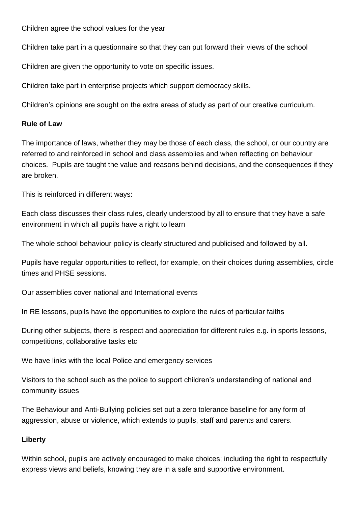Children agree the school values for the year

Children take part in a questionnaire so that they can put forward their views of the school

Children are given the opportunity to vote on specific issues.

Children take part in enterprise projects which support democracy skills.

Children's opinions are sought on the extra areas of study as part of our creative curriculum.

#### **Rule of Law**

The importance of laws, whether they may be those of each class, the school, or our country are referred to and reinforced in school and class assemblies and when reflecting on behaviour choices. Pupils are taught the value and reasons behind decisions, and the consequences if they are broken.

This is reinforced in different ways:

Each class discusses their class rules, clearly understood by all to ensure that they have a safe environment in which all pupils have a right to learn

The whole school behaviour policy is clearly structured and publicised and followed by all.

Pupils have regular opportunities to reflect, for example, on their choices during assemblies, circle times and PHSE sessions.

Our assemblies cover national and International events

In RE lessons, pupils have the opportunities to explore the rules of particular faiths

During other subjects, there is respect and appreciation for different rules e.g. in sports lessons, competitions, collaborative tasks etc

We have links with the local Police and emergency services

Visitors to the school such as the police to support children's understanding of national and community issues

The Behaviour and Anti-Bullying policies set out a zero tolerance baseline for any form of aggression, abuse or violence, which extends to pupils, staff and parents and carers.

## **Liberty**

Within school, pupils are actively encouraged to make choices; including the right to respectfully express views and beliefs, knowing they are in a safe and supportive environment.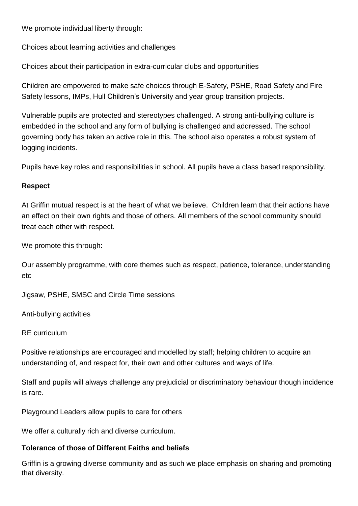We promote individual liberty through:

Choices about learning activities and challenges

Choices about their participation in extra-curricular clubs and opportunities

Children are empowered to make safe choices through E-Safety, PSHE, Road Safety and Fire Safety lessons, IMPs, Hull Children's University and year group transition projects.

Vulnerable pupils are protected and stereotypes challenged. A strong anti-bullying culture is embedded in the school and any form of bullying is challenged and addressed. The school governing body has taken an active role in this. The school also operates a robust system of logging incidents.

Pupils have key roles and responsibilities in school. All pupils have a class based responsibility.

# **Respect**

At Griffin mutual respect is at the heart of what we believe. Children learn that their actions have an effect on their own rights and those of others. All members of the school community should treat each other with respect.

We promote this through:

Our assembly programme, with core themes such as respect, patience, tolerance, understanding etc

Jigsaw, PSHE, SMSC and Circle Time sessions

Anti-bullying activities

RE curriculum

Positive relationships are encouraged and modelled by staff; helping children to acquire an understanding of, and respect for, their own and other cultures and ways of life.

Staff and pupils will always challenge any prejudicial or discriminatory behaviour though incidence is rare.

Playground Leaders allow pupils to care for others

We offer a culturally rich and diverse curriculum.

## **Tolerance of those of Different Faiths and beliefs**

Griffin is a growing diverse community and as such we place emphasis on sharing and promoting that diversity.